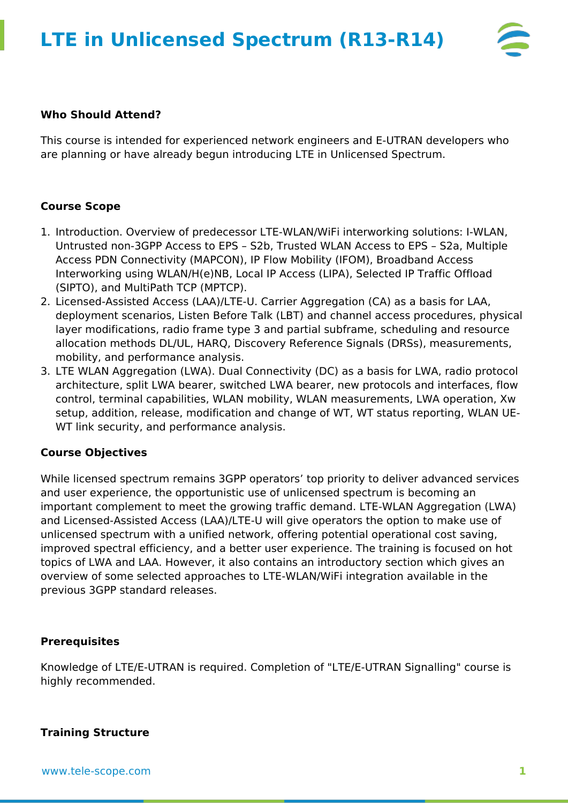

## **Who Should Attend?**

This course is intended for experienced network engineers and E-UTRAN developers who are planning or have already begun introducing LTE in Unlicensed Spectrum.

## **Course Scope**

- 1. Introduction. Overview of predecessor LTE-WLAN/WiFi interworking solutions: I-WLAN, Untrusted non-3GPP Access to EPS – S2b, Trusted WLAN Access to EPS – S2a, Multiple Access PDN Connectivity (MAPCON), IP Flow Mobility (IFOM), Broadband Access Interworking using WLAN/H(e)NB, Local IP Access (LIPA), Selected IP Traffic Offload (SIPTO), and MultiPath TCP (MPTCP).
- 2. Licensed-Assisted Access (LAA)/LTE-U. Carrier Aggregation (CA) as a basis for LAA, deployment scenarios, Listen Before Talk (LBT) and channel access procedures, physical layer modifications, radio frame type 3 and partial subframe, scheduling and resource allocation methods DL/UL, HARQ, Discovery Reference Signals (DRSs), measurements, mobility, and performance analysis.
- 3. LTE WLAN Aggregation (LWA). Dual Connectivity (DC) as a basis for LWA, radio protocol architecture, split LWA bearer, switched LWA bearer, new protocols and interfaces, flow control, terminal capabilities, WLAN mobility, WLAN measurements, LWA operation, Xw setup, addition, release, modification and change of WT, WT status reporting, WLAN UE-WT link security, and performance analysis.

## **Course Objectives**

While licensed spectrum remains 3GPP operators' top priority to deliver advanced services and user experience, the opportunistic use of unlicensed spectrum is becoming an important complement to meet the growing traffic demand. LTE-WLAN Aggregation (LWA) and Licensed-Assisted Access (LAA)/LTE-U will give operators the option to make use of unlicensed spectrum with a unified network, offering potential operational cost saving, improved spectral efficiency, and a better user experience. The training is focused on hot topics of LWA and LAA. However, it also contains an introductory section which gives an overview of some selected approaches to LTE-WLAN/WiFi integration available in the previous 3GPP standard releases.

#### **Prerequisites**

Knowledge of LTE/E-UTRAN is required. Completion of "LTE/E-UTRAN Signalling" course is highly recommended.

## **Training Structure**